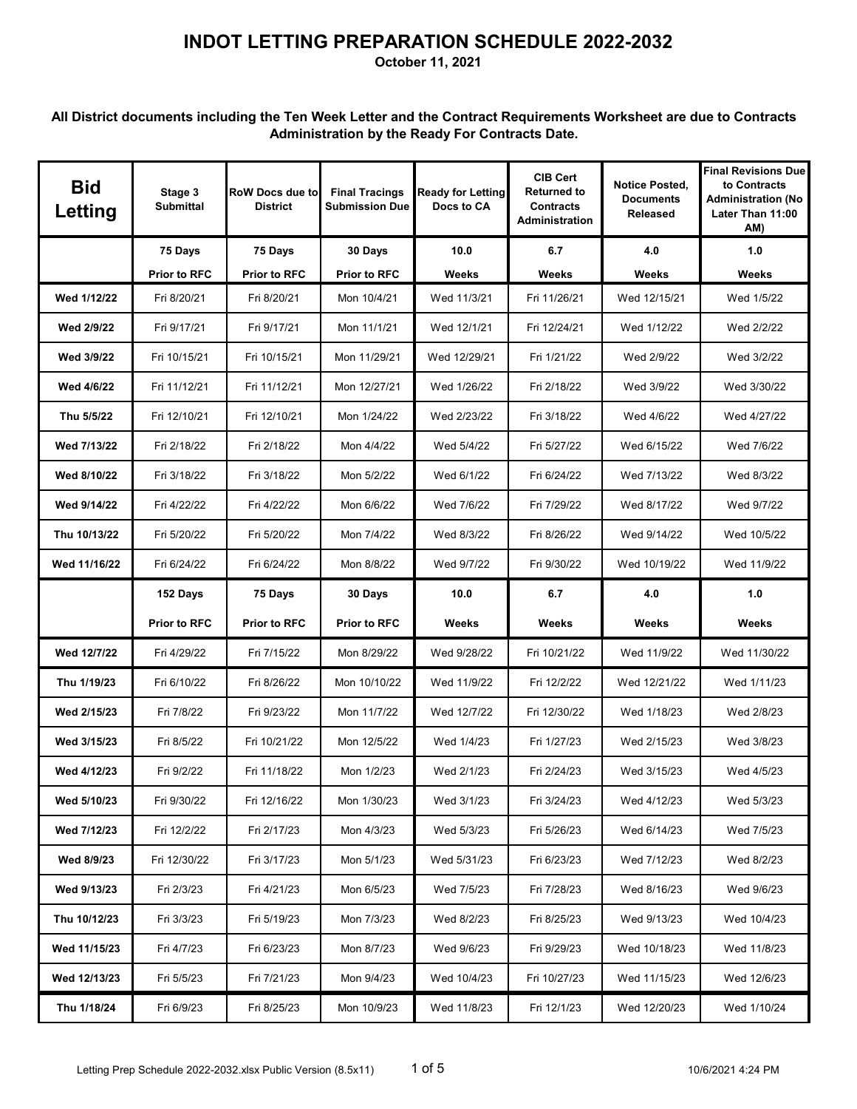**October 11, 2021**

| <b>Bid</b><br>Letting | Stage 3<br><b>Submittal</b> | <b>RoW Docs due to</b><br><b>District</b> | <b>Final Tracings</b><br><b>Submission Due</b> | <b>Ready for Letting</b><br>Docs to CA | <b>CIB Cert</b><br><b>Returned to</b><br><b>Contracts</b><br><b>Administration</b> | <b>Notice Posted,</b><br><b>Documents</b><br>Released | <b>Final Revisions Due</b><br>to Contracts<br><b>Administration (No</b><br>Later Than 11:00<br>AM) |
|-----------------------|-----------------------------|-------------------------------------------|------------------------------------------------|----------------------------------------|------------------------------------------------------------------------------------|-------------------------------------------------------|----------------------------------------------------------------------------------------------------|
|                       | 75 Days                     | 75 Days                                   | 30 Days                                        | 10.0                                   | 6.7                                                                                | 4.0                                                   | 1.0                                                                                                |
|                       | <b>Prior to RFC</b>         | <b>Prior to RFC</b>                       | <b>Prior to RFC</b>                            | Weeks                                  | Weeks                                                                              | Weeks                                                 | <b>Weeks</b>                                                                                       |
| Wed 1/12/22           | Fri 8/20/21                 | Fri 8/20/21                               | Mon 10/4/21                                    | Wed 11/3/21                            | Fri 11/26/21                                                                       | Wed 12/15/21                                          | Wed 1/5/22                                                                                         |
| Wed 2/9/22            | Fri 9/17/21                 | Fri 9/17/21                               | Mon 11/1/21                                    | Wed 12/1/21                            | Fri 12/24/21                                                                       | Wed 1/12/22                                           | Wed 2/2/22                                                                                         |
| Wed 3/9/22            | Fri 10/15/21                | Fri 10/15/21                              | Mon 11/29/21                                   | Wed 12/29/21                           | Fri 1/21/22                                                                        | Wed 2/9/22                                            | Wed 3/2/22                                                                                         |
| Wed 4/6/22            | Fri 11/12/21                | Fri 11/12/21                              | Mon 12/27/21                                   | Wed 1/26/22                            | Fri 2/18/22                                                                        | Wed 3/9/22                                            | Wed 3/30/22                                                                                        |
| Thu 5/5/22            | Fri 12/10/21                | Fri 12/10/21                              | Mon 1/24/22                                    | Wed 2/23/22                            | Fri 3/18/22                                                                        | Wed 4/6/22                                            | Wed 4/27/22                                                                                        |
| Wed 7/13/22           | Fri 2/18/22                 | Fri 2/18/22                               | Mon 4/4/22                                     | Wed 5/4/22                             | Fri 5/27/22                                                                        | Wed 6/15/22                                           | Wed 7/6/22                                                                                         |
| Wed 8/10/22           | Fri 3/18/22                 | Fri 3/18/22                               | Mon 5/2/22                                     | Wed 6/1/22                             | Fri 6/24/22                                                                        | Wed 7/13/22                                           | Wed 8/3/22                                                                                         |
| Wed 9/14/22           | Fri 4/22/22                 | Fri 4/22/22                               | Mon 6/6/22                                     | Wed 7/6/22                             | Fri 7/29/22                                                                        | Wed 8/17/22                                           | Wed 9/7/22                                                                                         |
| Thu 10/13/22          | Fri 5/20/22                 | Fri 5/20/22                               | Mon 7/4/22                                     | Wed 8/3/22                             | Fri 8/26/22                                                                        | Wed 9/14/22                                           | Wed 10/5/22                                                                                        |
| Wed 11/16/22          | Fri 6/24/22                 | Fri 6/24/22                               | Mon 8/8/22                                     | Wed 9/7/22                             | Fri 9/30/22                                                                        | Wed 10/19/22                                          | Wed 11/9/22                                                                                        |
|                       | 152 Days                    | 75 Days                                   | 30 Days                                        | 10.0                                   | 6.7                                                                                | 4.0                                                   | 1.0                                                                                                |
|                       | <b>Prior to RFC</b>         | <b>Prior to RFC</b>                       | <b>Prior to RFC</b>                            | Weeks                                  | Weeks                                                                              | Weeks                                                 | Weeks                                                                                              |
| Wed 12/7/22           | Fri 4/29/22                 | Fri 7/15/22                               | Mon 8/29/22                                    | Wed 9/28/22                            | Fri 10/21/22                                                                       | Wed 11/9/22                                           | Wed 11/30/22                                                                                       |
| Thu 1/19/23           | Fri 6/10/22                 | Fri 8/26/22                               | Mon 10/10/22                                   | Wed 11/9/22                            | Fri 12/2/22                                                                        | Wed 12/21/22                                          | Wed 1/11/23                                                                                        |
| Wed 2/15/23           | Fri 7/8/22                  | Fri 9/23/22                               | Mon 11/7/22                                    | Wed 12/7/22                            | Fri 12/30/22                                                                       | Wed 1/18/23                                           | Wed 2/8/23                                                                                         |
| Wed 3/15/23           | Fri 8/5/22                  | Fri 10/21/22                              | Mon 12/5/22                                    | Wed 1/4/23                             | Fri 1/27/23                                                                        | Wed 2/15/23                                           | Wed 3/8/23                                                                                         |
| Wed 4/12/23           | Fri 9/2/22                  | Fri 11/18/22                              | Mon 1/2/23                                     | Wed 2/1/23                             | Fri 2/24/23                                                                        | Wed 3/15/23                                           | Wed 4/5/23                                                                                         |
| Wed 5/10/23           | Fri 9/30/22                 | Fri 12/16/22                              | Mon 1/30/23                                    | Wed 3/1/23                             | Fri 3/24/23                                                                        | Wed 4/12/23                                           | Wed 5/3/23                                                                                         |
| Wed 7/12/23           | Fri 12/2/22                 | Fri 2/17/23                               | Mon 4/3/23                                     | Wed 5/3/23                             | Fri 5/26/23                                                                        | Wed 6/14/23                                           | Wed 7/5/23                                                                                         |
| Wed 8/9/23            | Fri 12/30/22                | Fri 3/17/23                               | Mon 5/1/23                                     | Wed 5/31/23                            | Fri 6/23/23                                                                        | Wed 7/12/23                                           | Wed 8/2/23                                                                                         |
| Wed 9/13/23           | Fri 2/3/23                  | Fri 4/21/23                               | Mon 6/5/23                                     | Wed 7/5/23                             | Fri 7/28/23                                                                        | Wed 8/16/23                                           | Wed 9/6/23                                                                                         |
| Thu 10/12/23          | Fri 3/3/23                  | Fri 5/19/23                               | Mon 7/3/23                                     | Wed 8/2/23                             | Fri 8/25/23                                                                        | Wed 9/13/23                                           | Wed 10/4/23                                                                                        |
| Wed 11/15/23          | Fri 4/7/23                  | Fri 6/23/23                               | Mon 8/7/23                                     | Wed 9/6/23                             | Fri 9/29/23                                                                        | Wed 10/18/23                                          | Wed 11/8/23                                                                                        |
| Wed 12/13/23          | Fri 5/5/23                  | Fri 7/21/23                               | Mon 9/4/23                                     | Wed 10/4/23                            | Fri 10/27/23                                                                       | Wed 11/15/23                                          | Wed 12/6/23                                                                                        |
| Thu 1/18/24           | Fri 6/9/23                  | Fri 8/25/23                               | Mon 10/9/23                                    | Wed 11/8/23                            | Fri 12/1/23                                                                        | Wed 12/20/23                                          | Wed 1/10/24                                                                                        |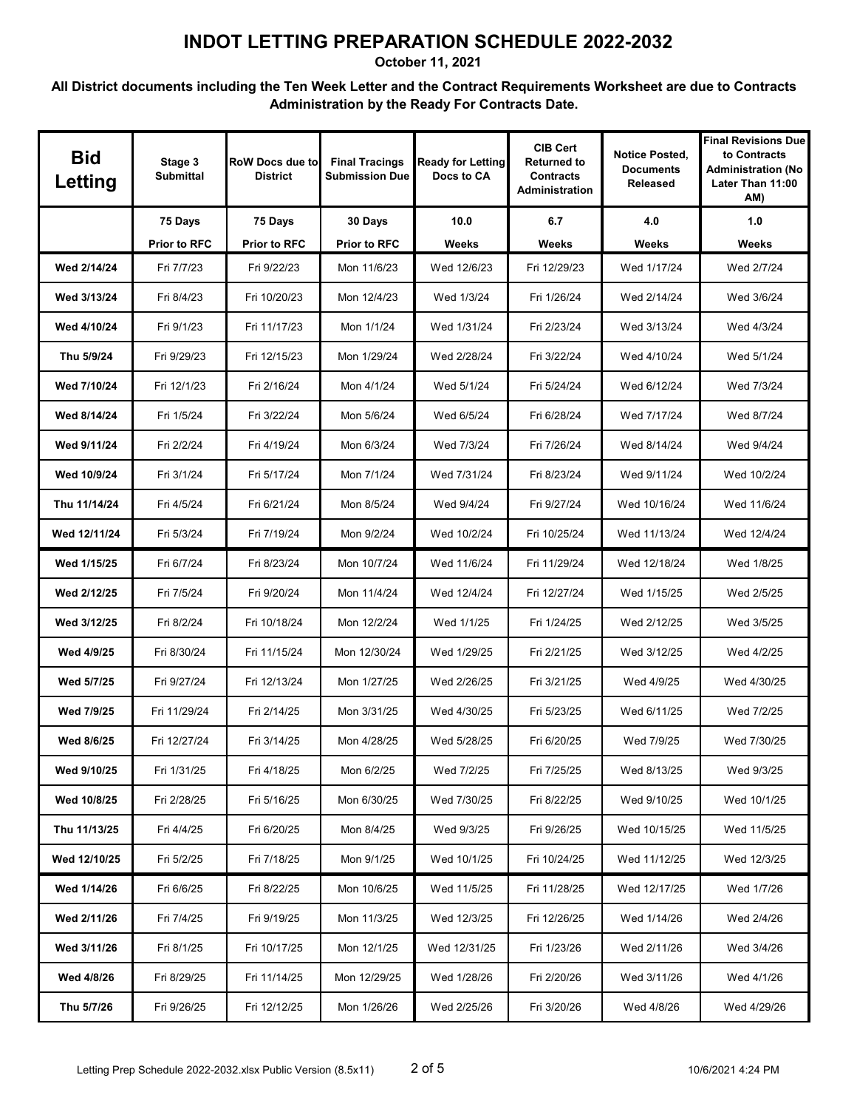**October 11, 2021**

| <b>Bid</b><br>Letting | Stage 3<br><b>Submittal</b> | RoW Docs due to<br><b>District</b> | <b>Final Tracings</b><br><b>Submission Due</b> | <b>Ready for Letting</b><br>Docs to CA | <b>CIB Cert</b><br><b>Returned to</b><br><b>Contracts</b><br><b>Administration</b> | <b>Notice Posted,</b><br><b>Documents</b><br><b>Released</b> | <b>Final Revisions Due</b><br>to Contracts<br><b>Administration (No</b><br>Later Than 11:00<br>AM) |
|-----------------------|-----------------------------|------------------------------------|------------------------------------------------|----------------------------------------|------------------------------------------------------------------------------------|--------------------------------------------------------------|----------------------------------------------------------------------------------------------------|
|                       | 75 Days                     | 75 Days                            | 30 Days                                        | 10.0                                   | 6.7                                                                                | 4.0                                                          | 1.0                                                                                                |
|                       | <b>Prior to RFC</b>         | <b>Prior to RFC</b>                | <b>Prior to RFC</b>                            | Weeks                                  | Weeks                                                                              | Weeks                                                        | Weeks                                                                                              |
| Wed 2/14/24           | Fri 7/7/23                  | Fri 9/22/23                        | Mon 11/6/23                                    | Wed 12/6/23                            | Fri 12/29/23                                                                       | Wed 1/17/24                                                  | Wed 2/7/24                                                                                         |
| Wed 3/13/24           | Fri 8/4/23                  | Fri 10/20/23                       | Mon 12/4/23                                    | Wed 1/3/24                             | Fri 1/26/24                                                                        | Wed 2/14/24                                                  | Wed 3/6/24                                                                                         |
| Wed 4/10/24           | Fri 9/1/23                  | Fri 11/17/23                       | Mon 1/1/24                                     | Wed 1/31/24                            | Fri 2/23/24                                                                        | Wed 3/13/24                                                  | Wed 4/3/24                                                                                         |
| Thu 5/9/24            | Fri 9/29/23                 | Fri 12/15/23                       | Mon 1/29/24                                    | Wed 2/28/24                            | Fri 3/22/24                                                                        | Wed 4/10/24                                                  | Wed 5/1/24                                                                                         |
| Wed 7/10/24           | Fri 12/1/23                 | Fri 2/16/24                        | Mon 4/1/24                                     | Wed 5/1/24                             | Fri 5/24/24                                                                        | Wed 6/12/24                                                  | Wed 7/3/24                                                                                         |
| Wed 8/14/24           | Fri 1/5/24                  | Fri 3/22/24                        | Mon 5/6/24                                     | Wed 6/5/24                             | Fri 6/28/24                                                                        | Wed 7/17/24                                                  | Wed 8/7/24                                                                                         |
| Wed 9/11/24           | Fri 2/2/24                  | Fri 4/19/24                        | Mon 6/3/24                                     | Wed 7/3/24                             | Fri 7/26/24                                                                        | Wed 8/14/24                                                  | Wed 9/4/24                                                                                         |
| Wed 10/9/24           | Fri 3/1/24                  | Fri 5/17/24                        | Mon 7/1/24                                     | Wed 7/31/24                            | Fri 8/23/24                                                                        | Wed 9/11/24                                                  | Wed 10/2/24                                                                                        |
| Thu 11/14/24          | Fri 4/5/24                  | Fri 6/21/24                        | Mon 8/5/24                                     | Wed 9/4/24                             | Fri 9/27/24                                                                        | Wed 10/16/24                                                 | Wed 11/6/24                                                                                        |
| Wed 12/11/24          | Fri 5/3/24                  | Fri 7/19/24                        | Mon 9/2/24                                     | Wed 10/2/24                            | Fri 10/25/24                                                                       | Wed 11/13/24                                                 | Wed 12/4/24                                                                                        |
| Wed 1/15/25           | Fri 6/7/24                  | Fri 8/23/24                        | Mon 10/7/24                                    | Wed 11/6/24                            | Fri 11/29/24                                                                       | Wed 12/18/24                                                 | Wed 1/8/25                                                                                         |
| Wed 2/12/25           | Fri 7/5/24                  | Fri 9/20/24                        | Mon 11/4/24                                    | Wed 12/4/24                            | Fri 12/27/24                                                                       | Wed 1/15/25                                                  | Wed 2/5/25                                                                                         |
| Wed 3/12/25           | Fri 8/2/24                  | Fri 10/18/24                       | Mon 12/2/24                                    | Wed 1/1/25                             | Fri 1/24/25                                                                        | Wed 2/12/25                                                  | Wed 3/5/25                                                                                         |
| Wed 4/9/25            | Fri 8/30/24                 | Fri 11/15/24                       | Mon 12/30/24                                   | Wed 1/29/25                            | Fri 2/21/25                                                                        | Wed 3/12/25                                                  | Wed 4/2/25                                                                                         |
| Wed 5/7/25            | Fri 9/27/24                 | Fri 12/13/24                       | Mon 1/27/25                                    | Wed 2/26/25                            | Fri 3/21/25                                                                        | Wed 4/9/25                                                   | Wed 4/30/25                                                                                        |
| Wed 7/9/25            | Fri 11/29/24                | Fri 2/14/25                        | Mon 3/31/25                                    | Wed 4/30/25                            | Fri 5/23/25                                                                        | Wed 6/11/25                                                  | Wed 7/2/25                                                                                         |
| Wed 8/6/25            | Fri 12/27/24                | Fri 3/14/25                        | Mon 4/28/25                                    | Wed 5/28/25                            | Fri 6/20/25                                                                        | Wed 7/9/25                                                   | Wed 7/30/25                                                                                        |
| Wed 9/10/25           | Fri 1/31/25                 | Fri 4/18/25                        | Mon 6/2/25                                     | Wed 7/2/25                             | Fri 7/25/25                                                                        | Wed 8/13/25                                                  | Wed 9/3/25                                                                                         |
| Wed 10/8/25           | Fri 2/28/25                 | Fri 5/16/25                        | Mon 6/30/25                                    | Wed 7/30/25                            | Fri 8/22/25                                                                        | Wed 9/10/25                                                  | Wed 10/1/25                                                                                        |
| Thu 11/13/25          | Fri 4/4/25                  | Fri 6/20/25                        | Mon 8/4/25                                     | Wed 9/3/25                             | Fri 9/26/25                                                                        | Wed 10/15/25                                                 | Wed 11/5/25                                                                                        |
| Wed 12/10/25          | Fri 5/2/25                  | Fri 7/18/25                        | Mon 9/1/25                                     | Wed 10/1/25                            | Fri 10/24/25                                                                       | Wed 11/12/25                                                 | Wed 12/3/25                                                                                        |
| Wed 1/14/26           | Fri 6/6/25                  | Fri 8/22/25                        | Mon 10/6/25                                    | Wed 11/5/25                            | Fri 11/28/25                                                                       | Wed 12/17/25                                                 | Wed 1/7/26                                                                                         |
| Wed 2/11/26           | Fri 7/4/25                  | Fri 9/19/25                        | Mon 11/3/25                                    | Wed 12/3/25                            | Fri 12/26/25                                                                       | Wed 1/14/26                                                  | Wed 2/4/26                                                                                         |
| Wed 3/11/26           | Fri 8/1/25                  | Fri 10/17/25                       | Mon 12/1/25                                    | Wed 12/31/25                           | Fri 1/23/26                                                                        | Wed 2/11/26                                                  | Wed 3/4/26                                                                                         |
| Wed 4/8/26            | Fri 8/29/25                 | Fri 11/14/25                       | Mon 12/29/25                                   | Wed 1/28/26                            | Fri 2/20/26                                                                        | Wed 3/11/26                                                  | Wed 4/1/26                                                                                         |
| Thu 5/7/26            | Fri 9/26/25                 | Fri 12/12/25                       | Mon 1/26/26                                    | Wed 2/25/26                            | Fri 3/20/26                                                                        | Wed 4/8/26                                                   | Wed 4/29/26                                                                                        |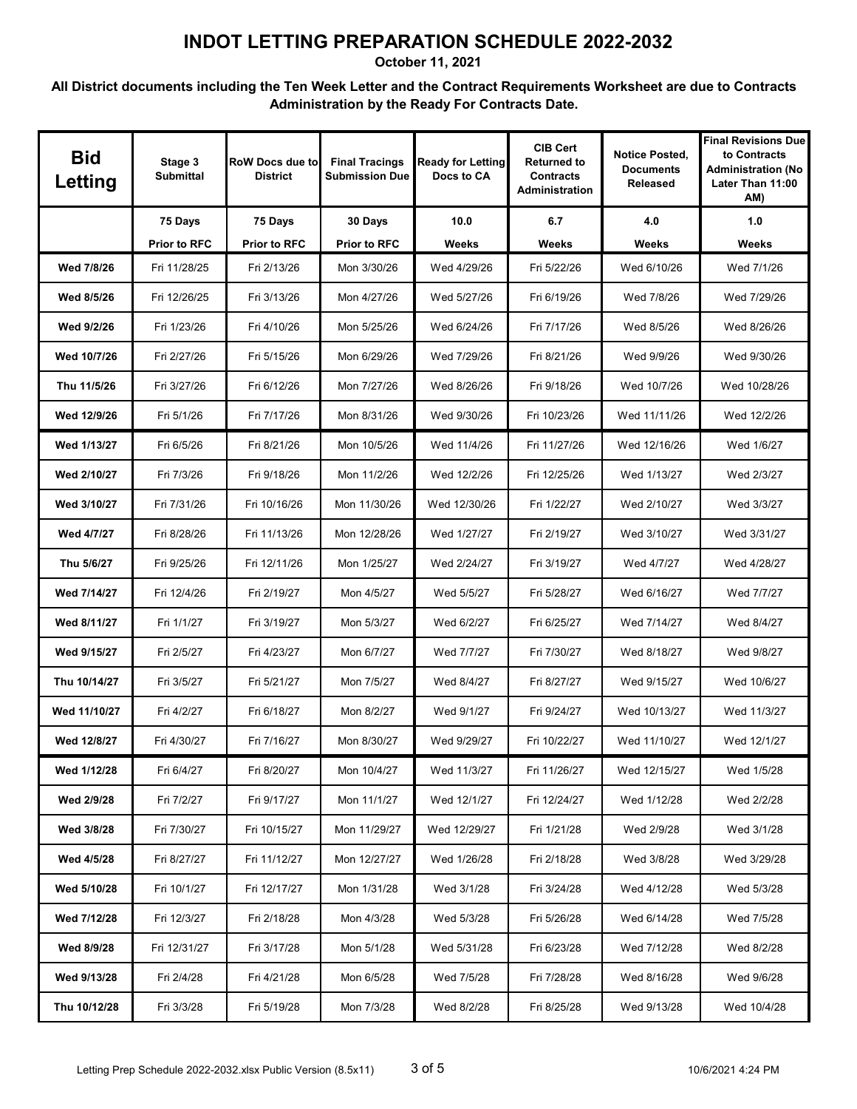**October 11, 2021**

| <b>Bid</b><br>Letting | Stage 3<br><b>Submittal</b> | RoW Docs due to<br><b>District</b> | <b>Final Tracings</b><br><b>Submission Due</b> | <b>Ready for Letting</b><br>Docs to CA | <b>CIB Cert</b><br><b>Returned to</b><br><b>Contracts</b><br><b>Administration</b> | <b>Notice Posted,</b><br><b>Documents</b><br>Released | <b>Final Revisions Due</b><br>to Contracts<br><b>Administration (No</b><br>Later Than 11:00<br>AM) |
|-----------------------|-----------------------------|------------------------------------|------------------------------------------------|----------------------------------------|------------------------------------------------------------------------------------|-------------------------------------------------------|----------------------------------------------------------------------------------------------------|
|                       | 75 Days                     | 75 Days                            | 30 Days                                        | 10.0                                   | 6.7                                                                                | 4.0                                                   | 1.0                                                                                                |
|                       | <b>Prior to RFC</b>         | <b>Prior to RFC</b>                | <b>Prior to RFC</b>                            | Weeks                                  | Weeks                                                                              | Weeks                                                 | Weeks                                                                                              |
| Wed 7/8/26            | Fri 11/28/25                | Fri 2/13/26                        | Mon 3/30/26                                    | Wed 4/29/26                            | Fri 5/22/26                                                                        | Wed 6/10/26                                           | Wed 7/1/26                                                                                         |
| Wed 8/5/26            | Fri 12/26/25                | Fri 3/13/26                        | Mon 4/27/26                                    | Wed 5/27/26                            | Fri 6/19/26                                                                        | Wed 7/8/26                                            | Wed 7/29/26                                                                                        |
| Wed 9/2/26            | Fri 1/23/26                 | Fri 4/10/26                        | Mon 5/25/26                                    | Wed 6/24/26                            | Fri 7/17/26                                                                        | Wed 8/5/26                                            | Wed 8/26/26                                                                                        |
| Wed 10/7/26           | Fri 2/27/26                 | Fri 5/15/26                        | Mon 6/29/26                                    | Wed 7/29/26                            | Fri 8/21/26                                                                        | Wed 9/9/26                                            | Wed 9/30/26                                                                                        |
| Thu 11/5/26           | Fri 3/27/26                 | Fri 6/12/26                        | Mon 7/27/26                                    | Wed 8/26/26                            | Fri 9/18/26                                                                        | Wed 10/7/26                                           | Wed 10/28/26                                                                                       |
| Wed 12/9/26           | Fri 5/1/26                  | Fri 7/17/26                        | Mon 8/31/26                                    | Wed 9/30/26                            | Fri 10/23/26                                                                       | Wed 11/11/26                                          | Wed 12/2/26                                                                                        |
| Wed 1/13/27           | Fri 6/5/26                  | Fri 8/21/26                        | Mon 10/5/26                                    | Wed 11/4/26                            | Fri 11/27/26                                                                       | Wed 12/16/26                                          | Wed 1/6/27                                                                                         |
| Wed 2/10/27           | Fri 7/3/26                  | Fri 9/18/26                        | Mon 11/2/26                                    | Wed 12/2/26                            | Fri 12/25/26                                                                       | Wed 1/13/27                                           | Wed 2/3/27                                                                                         |
| Wed 3/10/27           | Fri 7/31/26                 | Fri 10/16/26                       | Mon 11/30/26                                   | Wed 12/30/26                           | Fri 1/22/27                                                                        | Wed 2/10/27                                           | Wed 3/3/27                                                                                         |
| Wed 4/7/27            | Fri 8/28/26                 | Fri 11/13/26                       | Mon 12/28/26                                   | Wed 1/27/27                            | Fri 2/19/27                                                                        | Wed 3/10/27                                           | Wed 3/31/27                                                                                        |
| Thu 5/6/27            | Fri 9/25/26                 | Fri 12/11/26                       | Mon 1/25/27                                    | Wed 2/24/27                            | Fri 3/19/27                                                                        | Wed 4/7/27                                            | Wed 4/28/27                                                                                        |
| Wed 7/14/27           | Fri 12/4/26                 | Fri 2/19/27                        | Mon 4/5/27                                     | Wed 5/5/27                             | Fri 5/28/27                                                                        | Wed 6/16/27                                           | Wed 7/7/27                                                                                         |
| Wed 8/11/27           | Fri 1/1/27                  | Fri 3/19/27                        | Mon 5/3/27                                     | Wed 6/2/27                             | Fri 6/25/27                                                                        | Wed 7/14/27                                           | Wed 8/4/27                                                                                         |
| Wed 9/15/27           | Fri 2/5/27                  | Fri 4/23/27                        | Mon 6/7/27                                     | Wed 7/7/27                             | Fri 7/30/27                                                                        | Wed 8/18/27                                           | Wed 9/8/27                                                                                         |
| Thu 10/14/27          | Fri 3/5/27                  | Fri 5/21/27                        | Mon 7/5/27                                     | Wed 8/4/27                             | Fri 8/27/27                                                                        | Wed 9/15/27                                           | Wed 10/6/27                                                                                        |
| Wed 11/10/27          | Fri 4/2/27                  | Fri 6/18/27                        | Mon 8/2/27                                     | Wed 9/1/27                             | Fri 9/24/27                                                                        | Wed 10/13/27                                          | Wed 11/3/27                                                                                        |
| Wed 12/8/27           | Fri 4/30/27                 | Fri 7/16/27                        | Mon 8/30/27                                    | Wed 9/29/27                            | Fri 10/22/27                                                                       | Wed 11/10/27                                          | Wed 12/1/27                                                                                        |
| Wed 1/12/28           | Fri 6/4/27                  | Fri 8/20/27                        | Mon 10/4/27                                    | Wed 11/3/27                            | Fri 11/26/27                                                                       | Wed 12/15/27                                          | Wed 1/5/28                                                                                         |
| Wed 2/9/28            | Fri 7/2/27                  | Fri 9/17/27                        | Mon 11/1/27                                    | Wed 12/1/27                            | Fri 12/24/27                                                                       | Wed 1/12/28                                           | Wed 2/2/28                                                                                         |
| Wed 3/8/28            | Fri 7/30/27                 | Fri 10/15/27                       | Mon 11/29/27                                   | Wed 12/29/27                           | Fri 1/21/28                                                                        | Wed 2/9/28                                            | Wed 3/1/28                                                                                         |
| Wed 4/5/28            | Fri 8/27/27                 | Fri 11/12/27                       | Mon 12/27/27                                   | Wed 1/26/28                            | Fri 2/18/28                                                                        | Wed 3/8/28                                            | Wed 3/29/28                                                                                        |
| Wed 5/10/28           | Fri 10/1/27                 | Fri 12/17/27                       | Mon 1/31/28                                    | Wed 3/1/28                             | Fri 3/24/28                                                                        | Wed 4/12/28                                           | Wed 5/3/28                                                                                         |
| Wed 7/12/28           | Fri 12/3/27                 | Fri 2/18/28                        | Mon 4/3/28                                     | Wed 5/3/28                             | Fri 5/26/28                                                                        | Wed 6/14/28                                           | Wed 7/5/28                                                                                         |
| Wed 8/9/28            | Fri 12/31/27                | Fri 3/17/28                        | Mon 5/1/28                                     | Wed 5/31/28                            | Fri 6/23/28                                                                        | Wed 7/12/28                                           | Wed 8/2/28                                                                                         |
| Wed 9/13/28           | Fri 2/4/28                  | Fri 4/21/28                        | Mon 6/5/28                                     | Wed 7/5/28                             | Fri 7/28/28                                                                        | Wed 8/16/28                                           | Wed 9/6/28                                                                                         |
| Thu 10/12/28          | Fri 3/3/28                  | Fri 5/19/28                        | Mon 7/3/28                                     | Wed 8/2/28                             | Fri 8/25/28                                                                        | Wed 9/13/28                                           | Wed 10/4/28                                                                                        |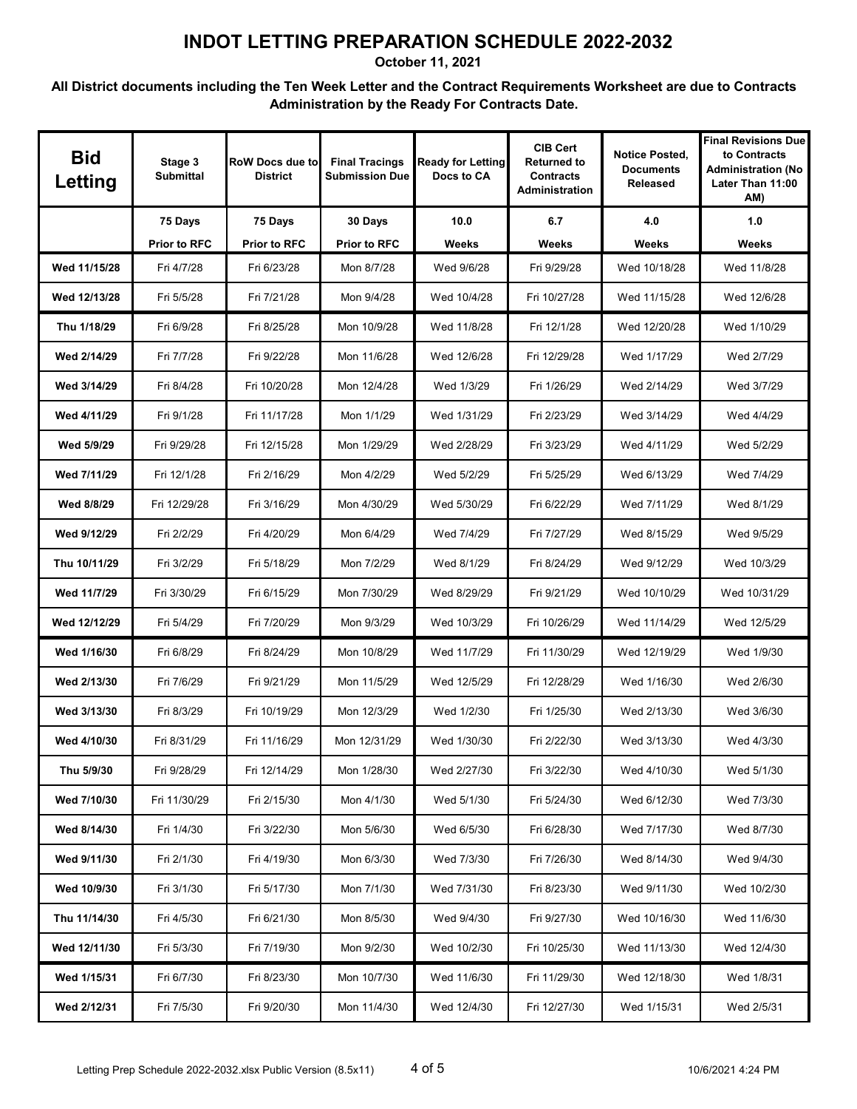**October 11, 2021**

| <b>Bid</b><br>Letting | Stage 3<br><b>Submittal</b> | RoW Docs due to<br><b>District</b> | <b>Final Tracings</b><br><b>Submission Due</b> | <b>Ready for Letting</b><br>Docs to CA | <b>CIB Cert</b><br><b>Returned to</b><br><b>Contracts</b><br><b>Administration</b> | <b>Notice Posted,</b><br><b>Documents</b><br>Released | <b>Final Revisions Due</b><br>to Contracts<br><b>Administration (No</b><br>Later Than 11:00<br>AM) |
|-----------------------|-----------------------------|------------------------------------|------------------------------------------------|----------------------------------------|------------------------------------------------------------------------------------|-------------------------------------------------------|----------------------------------------------------------------------------------------------------|
|                       | 75 Days                     | 75 Days                            | 30 Days                                        | 10.0                                   | 6.7                                                                                | 4.0                                                   | 1.0                                                                                                |
|                       | <b>Prior to RFC</b>         | <b>Prior to RFC</b>                | <b>Prior to RFC</b>                            | Weeks                                  | Weeks                                                                              | Weeks                                                 | Weeks                                                                                              |
| Wed 11/15/28          | Fri 4/7/28                  | Fri 6/23/28                        | Mon 8/7/28                                     | Wed 9/6/28                             | Fri 9/29/28                                                                        | Wed 10/18/28                                          | Wed 11/8/28                                                                                        |
| Wed 12/13/28          | Fri 5/5/28                  | Fri 7/21/28                        | Mon 9/4/28                                     | Wed 10/4/28                            | Fri 10/27/28                                                                       | Wed 11/15/28                                          | Wed 12/6/28                                                                                        |
| Thu 1/18/29           | Fri 6/9/28                  | Fri 8/25/28                        | Mon 10/9/28                                    | Wed 11/8/28                            | Fri 12/1/28                                                                        | Wed 12/20/28                                          | Wed 1/10/29                                                                                        |
| Wed 2/14/29           | Fri 7/7/28                  | Fri 9/22/28                        | Mon 11/6/28                                    | Wed 12/6/28                            | Fri 12/29/28                                                                       | Wed 1/17/29                                           | Wed 2/7/29                                                                                         |
| Wed 3/14/29           | Fri 8/4/28                  | Fri 10/20/28                       | Mon 12/4/28                                    | Wed 1/3/29                             | Fri 1/26/29                                                                        | Wed 2/14/29                                           | Wed 3/7/29                                                                                         |
| Wed 4/11/29           | Fri 9/1/28                  | Fri 11/17/28                       | Mon 1/1/29                                     | Wed 1/31/29                            | Fri 2/23/29                                                                        | Wed 3/14/29                                           | Wed 4/4/29                                                                                         |
| Wed 5/9/29            | Fri 9/29/28                 | Fri 12/15/28                       | Mon 1/29/29                                    | Wed 2/28/29                            | Fri 3/23/29                                                                        | Wed 4/11/29                                           | Wed 5/2/29                                                                                         |
| Wed 7/11/29           | Fri 12/1/28                 | Fri 2/16/29                        | Mon 4/2/29                                     | Wed 5/2/29                             | Fri 5/25/29                                                                        | Wed 6/13/29                                           | Wed 7/4/29                                                                                         |
| Wed 8/8/29            | Fri 12/29/28                | Fri 3/16/29                        | Mon 4/30/29                                    | Wed 5/30/29                            | Fri 6/22/29                                                                        | Wed 7/11/29                                           | Wed 8/1/29                                                                                         |
| Wed 9/12/29           | Fri 2/2/29                  | Fri 4/20/29                        | Mon 6/4/29                                     | Wed 7/4/29                             | Fri 7/27/29                                                                        | Wed 8/15/29                                           | Wed 9/5/29                                                                                         |
| Thu 10/11/29          | Fri 3/2/29                  | Fri 5/18/29                        | Mon 7/2/29                                     | Wed 8/1/29                             | Fri 8/24/29                                                                        | Wed 9/12/29                                           | Wed 10/3/29                                                                                        |
| Wed 11/7/29           | Fri 3/30/29                 | Fri 6/15/29                        | Mon 7/30/29                                    | Wed 8/29/29                            | Fri 9/21/29                                                                        | Wed 10/10/29                                          | Wed 10/31/29                                                                                       |
| Wed 12/12/29          | Fri 5/4/29                  | Fri 7/20/29                        | Mon 9/3/29                                     | Wed 10/3/29                            | Fri 10/26/29                                                                       | Wed 11/14/29                                          | Wed 12/5/29                                                                                        |
| Wed 1/16/30           | Fri 6/8/29                  | Fri 8/24/29                        | Mon 10/8/29                                    | Wed 11/7/29                            | Fri 11/30/29                                                                       | Wed 12/19/29                                          | Wed 1/9/30                                                                                         |
| Wed 2/13/30           | Fri 7/6/29                  | Fri 9/21/29                        | Mon 11/5/29                                    | Wed 12/5/29                            | Fri 12/28/29                                                                       | Wed 1/16/30                                           | Wed 2/6/30                                                                                         |
| Wed 3/13/30           | Fri 8/3/29                  | Fri 10/19/29                       | Mon 12/3/29                                    | Wed 1/2/30                             | Fri 1/25/30                                                                        | Wed 2/13/30                                           | Wed 3/6/30                                                                                         |
| Wed 4/10/30           | Fri 8/31/29                 | Fri 11/16/29                       | Mon 12/31/29                                   | Wed 1/30/30                            | Fri 2/22/30                                                                        | Wed 3/13/30                                           | Wed 4/3/30                                                                                         |
| Thu 5/9/30            | Fri 9/28/29                 | Fri 12/14/29                       | Mon 1/28/30                                    | Wed 2/27/30                            | Fri 3/22/30                                                                        | Wed 4/10/30                                           | Wed 5/1/30                                                                                         |
| Wed 7/10/30           | Fri 11/30/29                | Fri 2/15/30                        | Mon 4/1/30                                     | Wed 5/1/30                             | Fri 5/24/30                                                                        | Wed 6/12/30                                           | Wed 7/3/30                                                                                         |
| Wed 8/14/30           | Fri 1/4/30                  | Fri 3/22/30                        | Mon 5/6/30                                     | Wed 6/5/30                             | Fri 6/28/30                                                                        | Wed 7/17/30                                           | Wed 8/7/30                                                                                         |
| Wed 9/11/30           | Fri 2/1/30                  | Fri 4/19/30                        | Mon 6/3/30                                     | Wed 7/3/30                             | Fri 7/26/30                                                                        | Wed 8/14/30                                           | Wed 9/4/30                                                                                         |
| Wed 10/9/30           | Fri 3/1/30                  | Fri 5/17/30                        | Mon 7/1/30                                     | Wed 7/31/30                            | Fri 8/23/30                                                                        | Wed 9/11/30                                           | Wed 10/2/30                                                                                        |
| Thu 11/14/30          | Fri 4/5/30                  | Fri 6/21/30                        | Mon 8/5/30                                     | Wed 9/4/30                             | Fri 9/27/30                                                                        | Wed 10/16/30                                          | Wed 11/6/30                                                                                        |
| Wed 12/11/30          | Fri 5/3/30                  | Fri 7/19/30                        | Mon 9/2/30                                     | Wed 10/2/30                            | Fri 10/25/30                                                                       | Wed 11/13/30                                          | Wed 12/4/30                                                                                        |
| Wed 1/15/31           | Fri 6/7/30                  | Fri 8/23/30                        | Mon 10/7/30                                    | Wed 11/6/30                            | Fri 11/29/30                                                                       | Wed 12/18/30                                          | Wed 1/8/31                                                                                         |
| Wed 2/12/31           | Fri 7/5/30                  | Fri 9/20/30                        | Mon 11/4/30                                    | Wed 12/4/30                            | Fri 12/27/30                                                                       | Wed 1/15/31                                           | Wed 2/5/31                                                                                         |